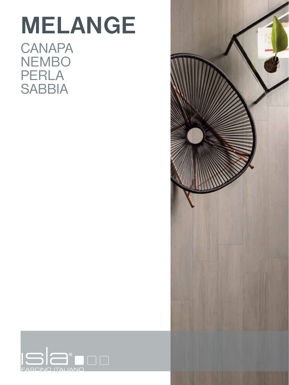### **MELANGE CANAPA** NEMBO PERLA **SABBIA**



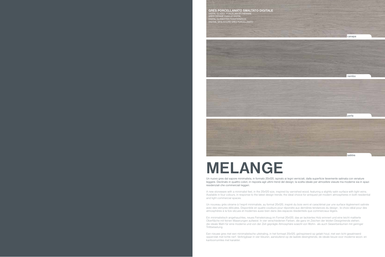# **MELANGE**

### Un nuovo gres dal sapore minimalista, in formato 20x120, ispirato ai legni verniciati, dalla superficie lievemente satinata con venature

leggere. Declinato in quattro colori, in risposta agli ultimi trend del design; la scelta ideale per atmosfere vissute ma moderne sia in spazi residenziali che commerciali leggeri.

A new stoneware with a minimalist feel, in the 20x120 size, inspired by varnished wood, featuring a slightly satin surface with light veins. Available in four colours, in response to the latest design trends; the ideal choice for antiqued yet modern atmospheres in both residential and light commercial spaces.

Un nouveau grès cérame à l'esprit minimaliste, au format 20x120, inspiré du bois verni et caractérisé par une surface légèrement satinée avec des veinures délicates. Disponible en quatre couleurs pour répondre aux dernières tendances du design ; le choix idéal pour des atmosphères à la fois vécues et modernes aussi bien dans des espaces résidentiels que commerciaux légers.







Ein minimalistisch angehauchtes, neues Feinsteinzeug im Format 20x120, das an lackiertes Holz erinnert und eine leicht mattierte Oberfläche mit feinen Maserungen aufweist. In vier verschiedenen Farben, die ganz im Zeichen der letzten Designtrends stehen; die ideale Wahl für eine moderne und von der Zeit geprägte Atmosphäre sowohl von Wohn- als auch Gewerberäumen mit geringer Trittbelastung.

Een nieuwe gres met een minimalistische uitstraling, in het formaat 20x120, geïnspireerd op gelakt hout, met een licht gesatineerd oppervlak met lichte nerf. Verkrijgbaar in vier kleuren, aansluitend op de laatste desingtrends; de ideale keuze voor moderne woon- en kantoorruimtes met karakter.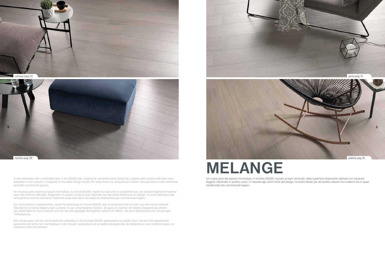## **MELANGE**

Un nuovo gres dal sapore minimalista, in formato 20x120, ispirato ai legni verniciati, dalla superficie lievemente satinata con venature leggere. Declinato in quattro colori, in risposta agli ultimi trend del design; la scelta ideale per atmosfere vissute ma moderne sia in spazi residenziali che commerciali leggeri.





A new stoneware with a minimalist feel, in the 20x120 size, inspired by varnished wood, featuring a slightly satin surface with light veins. Available in four colours, in response to the latest design trends; the ideal choice for antiqued yet modern atmospheres in both residential and light commercial spaces.

Un nouveau grès cérame à l'esprit minimaliste, au format 20x120, inspiré du bois verni et caractérisé par une surface légèrement satinée avec des veinures délicates. Disponible en quatre couleurs pour répondre aux dernières tendances du design ; le choix idéal pour des atmosphères à la fois vécues et modernes aussi bien dans des espaces résidentiels que commerciaux légers.



Ein minimalistisch angehauchtes, neues Feinsteinzeug im Format 20x120, das an lackiertes Holz erinnert und eine leicht mattierte Oberfläche mit feinen Maserungen aufweist. In vier verschiedenen Farben, die ganz im Zeichen der letzten Designtrends stehen; die ideale Wahl für eine moderne und von der Zeit geprägte Atmosphäre sowohl von Wohn- als auch Gewerberäumen mit geringer Trittbelastung.

Een nieuwe gres met een minimalistische uitstraling, in het formaat 20x120, geïnspireerd op gelakt hout, met een licht gesatineerd oppervlak met lichte nerf. Verkrijgbaar in vier kleuren, aansluitend op de laatste desingtrends; de ideale keuze voor moderne woon- en kantoorruimtes met karakter.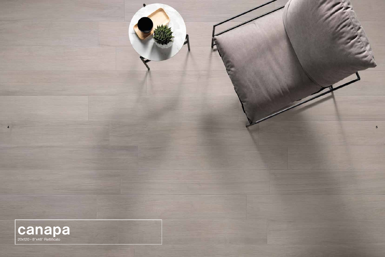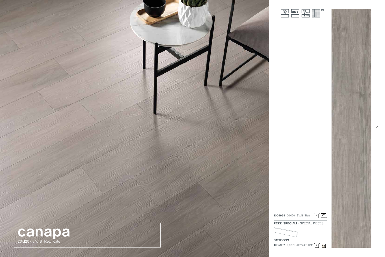

| x120 - 3 <sup>7/8</sup> "x48" Rett 6 018 |  |  |
|------------------------------------------|--|--|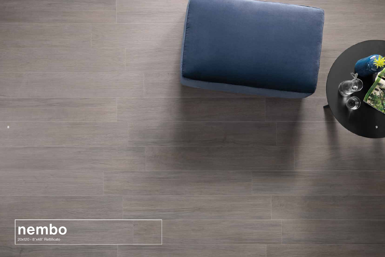

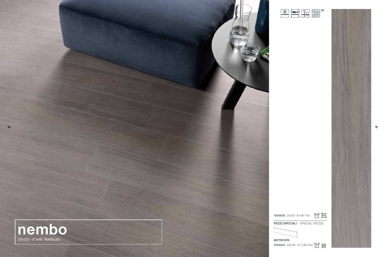$\frac{10}{2}$  mm "3/8



| x120 - 3 <sup>7/8</sup> "x48" Rett 6 018 |  |  |
|------------------------------------------|--|--|

V2

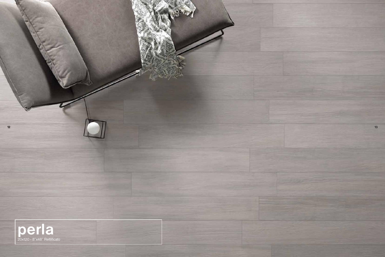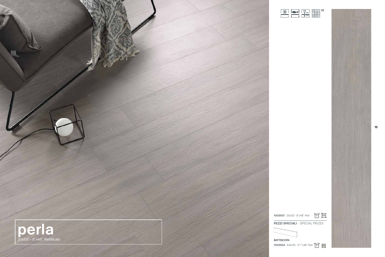

| x120 - 3 <sup>7/8</sup> "x48" Rett 6 018 |  |  |
|------------------------------------------|--|--|



**PEZZI SPECIALI** - SPECIAL PIECES





"3/8

V2

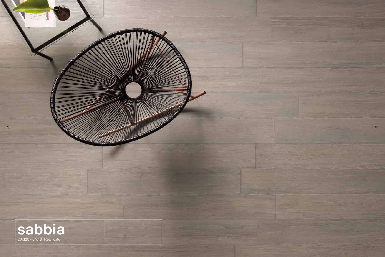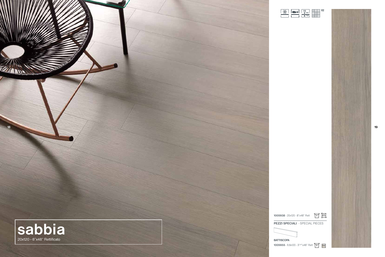





| "3/8" |  |
|-------|--|



**1005955** - 9,8x

| x120 - 3 <sup>7/8</sup> "x48" Rett 6 018 |  |  |
|------------------------------------------|--|--|
|                                          |  |  |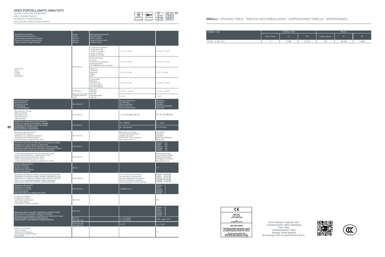GLAZED PORCELAIN STONEWARE GRES CERAME EMAILLE GLASIERTES FEINSTEINZEUG GEGLAZUURD GRES PORCELLANATO

| Proprietà fisico chimiche<br>Physical-chemical properties<br>Caracteristiques physiques-chimiques<br>Physische Chemische eigenschaften<br>Fysisch-chemische eigenschappen                                                                                                                                     | Norme<br>Norms<br>Noemes<br>Normen<br>Normen | Valori presvalori prescritti<br>Required values<br>Valeurs exigees<br>Vorgeschriebene werte<br>Vereiste waarde     |                                                                                                                                                                       |                                                                                                               |
|---------------------------------------------------------------------------------------------------------------------------------------------------------------------------------------------------------------------------------------------------------------------------------------------------------------|----------------------------------------------|--------------------------------------------------------------------------------------------------------------------|-----------------------------------------------------------------------------------------------------------------------------------------------------------------------|---------------------------------------------------------------------------------------------------------------|
|                                                                                                                                                                                                                                                                                                               |                                              | Lunghezza e larghezza<br>Length and width<br>Longueur et largeur<br>Länge und Breite<br>Lengte en breedte          | ± 0,5% ± 2 mm                                                                                                                                                         | $± 0,5% ± 1,5$ mm                                                                                             |
|                                                                                                                                                                                                                                                                                                               | ISO 10545-2                                  | Rettilineità spigoli<br>Linearity<br>Rectitude de l'angularité<br>Kantengeradheit<br>Rechtlijnigheid van de hoeken | ± 0,5% ± 2 mm                                                                                                                                                         | $± 0,3% ± 1,5$ mm                                                                                             |
| Dimensioni<br><b>Sizes</b><br>Format<br>Format<br>Afmetingen                                                                                                                                                                                                                                                  |                                              | Spessore<br>Thickness<br>Epaisseur<br>Stärke<br>Dikte                                                              | $± 5% ± 0.6$ mm                                                                                                                                                       | $± 5\% ± 0.5$ mm                                                                                              |
|                                                                                                                                                                                                                                                                                                               |                                              | Ortogonalità<br>Wedging<br>Orthogonalité<br>Rechtwinkligkeit<br>Rechthoekigheid                                    | ± 0,5% ± 2 mm                                                                                                                                                         | $± 0,3% ± 1,5$ mm                                                                                             |
|                                                                                                                                                                                                                                                                                                               | ISO10545-2                                   | Planarità<br>Warpage<br>Planéité                                                                                   | $± 0,3% ± 1,5$ mm                                                                                                                                                     | $± 0,3% ± 1,5$ mm                                                                                             |
|                                                                                                                                                                                                                                                                                                               | Warpage diagonal/<br>edge                    | Ebenflächigkeit<br>Vlakheid                                                                                        | ± 0,4%                                                                                                                                                                | ± 0,4%                                                                                                        |
| Resistenza al gelo<br>Frost resistance<br>Résistance au gel<br>Froständigkeit<br>Vorstbestendigheid                                                                                                                                                                                                           | ISO 10545-12                                 |                                                                                                                    | Nessuna alterazione<br>No alteration<br>Aucune altération<br>Keine Änderung<br>Geen enkele variatie                                                                   | Resistente<br>Resistant<br>Résistant<br>Widerstandsfähigkeit<br>Bestendig                                     |
| Assorbimento d'acqua<br>Water absorption<br>Absorption d'eau<br>Wasseraufnahme<br>Waterabsorptie                                                                                                                                                                                                              | ISO 10545-3                                  |                                                                                                                    | $\leq$ 0,1% Gruppo Bla GL                                                                                                                                             | $E \leq 0.1\%$ Bla GL                                                                                         |
| Resistenza a flessione e forza di rottura                                                                                                                                                                                                                                                                     | ISO 10545-4                                  |                                                                                                                    | $S \geq 1300 N$                                                                                                                                                       | $S \ge 1300 N$                                                                                                |
| Moduls of rupture and breaking strength<br>resistance à la flexion et force de rupture<br>Biegfestigkeit und Bruchlast<br>Buigvastheid en breeksterkte                                                                                                                                                        |                                              |                                                                                                                    | $R \geq 35$ N/mm <sup>2</sup>                                                                                                                                         | $R \geq 35$ N/mm <sup>2</sup>                                                                                 |
| Resistenza agli sbalzi termici<br>Thermal shocks resistant<br>Résistance aux variations thermiques<br>Temperaturwechselbeständigkeit<br>Weerstand tegen temperatuurschokken                                                                                                                                   | ISO 10545-9                                  |                                                                                                                    | Requisito non previsto<br>Not provided requirement<br>Qualité pas previe<br>Erfordernis nicht vorgesehen<br>Niet opgenomen eis                                        | Resistente<br>Resistant<br>Résistant<br>Widerstandsfähigkeit<br>Bestendig                                     |
| Resistenza alla abrasione della superficie di piastrelle smaltate<br>Resistance to surface abrasion of glazed tiles<br>Résistance à l'abrasion de la surface des carreaux émaillés<br>Widerstand gegen Abrieb der Oberfläche der glasierten Fliesen<br>Slijtvastheid van het oppervlak van geglazuurde tegels | ISO 10545-7                                  |                                                                                                                    |                                                                                                                                                                       | Classe<br>$3 - 4$<br>Class<br>$3-4$<br>$3 - 4$<br>Classe<br>$3 - 4$<br>Gruppe<br>Klasse<br>$3 - 4$            |
| Coefficiente di dilatazione termica lineare (50°/400°)<br>Linear thermal expansion coefficient (50°/400°)<br>Dilatation thermique linéaire (50°/400°)<br>Lineare Wärmeausdehnung (50°/400°)<br>Lineaire thermische uitzettingscoëfficiënt (50°/400°)                                                          | ISO 10545-8                                  |                                                                                                                    |                                                                                                                                                                       | Metodo disponibile<br>Test method available<br>Méthode disponible<br>Verfügbares Verfahren<br>Beschikbare met |
| Durezza della Superficie<br>Surface resistance<br>Dureté de la surface<br>Ritzhärte deo Oberfläche<br>Oppervlaktehardheid                                                                                                                                                                                     | <b>EN 101</b>                                |                                                                                                                    |                                                                                                                                                                       | > 6                                                                                                           |
| Resistenza all'attacco chimico (tranne acido fluoridrico)<br>Resistance to chemical attack (except hydrofluoric acid)<br>Résistance à l'attaque chimique (sauf acide fluoridrique)<br>Säure-und Laugenbeständigkeit (außer Flußsäure)<br>Chemische resistentie (behalve waterstoffluoride)                    | ISO 10545-13                                 |                                                                                                                    | Come indicato dal produttore<br>As indicated by manufacturer<br>Comme indiqué par le producteur<br>Wie vom Hersteller angegeben<br>Zoals aangegeven door de fabrikant | Classe A-LA-HA<br>Class A-LA-HA<br>Classe A-LA-HA<br>Gruppe A-LA-HA<br>Klasse A-LA-HA                         |
| Resistenza alle macchie<br>Resistance to staining<br>Résistance aux taches<br>Fleckbeständigkeit<br>Vlekbestendigheid van geglazuurde tegels                                                                                                                                                                  | ISO 10545-14                                 |                                                                                                                    | CLASSE min. 3                                                                                                                                                         | Classe<br>5<br>Class<br>Classe<br>$5\phantom{.}$<br>$\overline{5}$<br>$\overline{5}$<br>Gruppe<br>Klasse<br>5 |
| Coefficiente di attrito<br>Coefficient of friction<br>Coefficient de frottement<br>Reibungskoeffizient<br>Gemiddelde wrijvingscoëfficiënt                                                                                                                                                                     | <b>DIN 51130</b>                             |                                                                                                                    |                                                                                                                                                                       | <b>R10</b>                                                                                                    |
| Resistenza alla scivolosità. Coefficiente di attrito medio<br>Skid resistance Average coefficient of friction<br>Résistance au glissement. Coéfficient de frottement moyen<br>Rutschfestigkeit. Mittlerer Reibungswert                                                                                        | <b>DIN 51097</b>                             |                                                                                                                    |                                                                                                                                                                       | B<br>Classe<br>Class<br>B<br>Classe<br>B<br>Gruppe B<br>Klasse<br>B                                           |
| Slipweerstand. Gemiddelde wrijvingscoëfficiënt                                                                                                                                                                                                                                                                | B.C.R.A.<br>(No Lapp/Lev)                    |                                                                                                                    | $\mu$ > 0,40 (Wet)<br>$\mu > 0,40$ (Dry)                                                                                                                              | $0,40 \le M \le 0,74$                                                                                         |
|                                                                                                                                                                                                                                                                                                               | <b>DCOF Acu Test</b><br>(No Lapp/Lev)        |                                                                                                                    | $\ge 0,42$                                                                                                                                                            | $M \geq 0,42$                                                                                                 |
| Variazione cromatica<br>Colour shading<br>Variations chromatiques<br>Chromatische Abweichungen<br>Kleurvariatie                                                                                                                                                                                               |                                              |                                                                                                                    |                                                                                                                                                                       | V <sub>2</sub>                                                                                                |

#### **IMBALLI** - PACKING TABLE - TABLEAU DES EMBALLAGES - VERPACKUNGS TABELLE - VERPAKKINGEN

| <b>FORMATO SIZE</b>  | SCATOLA - BOX<br><b>PALLET</b> |                |       |                 |                |       |
|----------------------|--------------------------------|----------------|-------|-----------------|----------------|-------|
|                      | Pezzi - Pieces                 | m <sup>2</sup> | KG.   | Scatole - Boxes | m <sup>2</sup> | KG    |
| 20x120 - 4"x48" Rett |                                | 0.96           | 21,30 | 48              | 46.08          | 1.039 |

| (C                                                                                                                                     |
|----------------------------------------------------------------------------------------------------------------------------------------|
| <b>NGT SPA</b><br>VIA PLATONE 9                                                                                                        |
| 42048 RUBIERA (RE)<br>05<br>001NGT2013-07-01                                                                                           |
| EN 14411:2012                                                                                                                          |
| Piastrelle di ceramica pressate a secco,<br>con assorbimento di acqua E <sub>b</sub> ≤ 0,5%,<br>per pavimentazioni interne ed esterne. |
| Dry pressed ceramic tile,<br>with water absorption $E_b \le 0.5\%$ ,<br>for internal and external floorings                            |



Prima edizione: Febbraio 2021 Coordinamento: Ufficio Marketing Foto: Hipix Fotoelaborazioni: Hipix Stampa: Intese grafiche Copyright 2021 Gruppo Romani S.p.A.